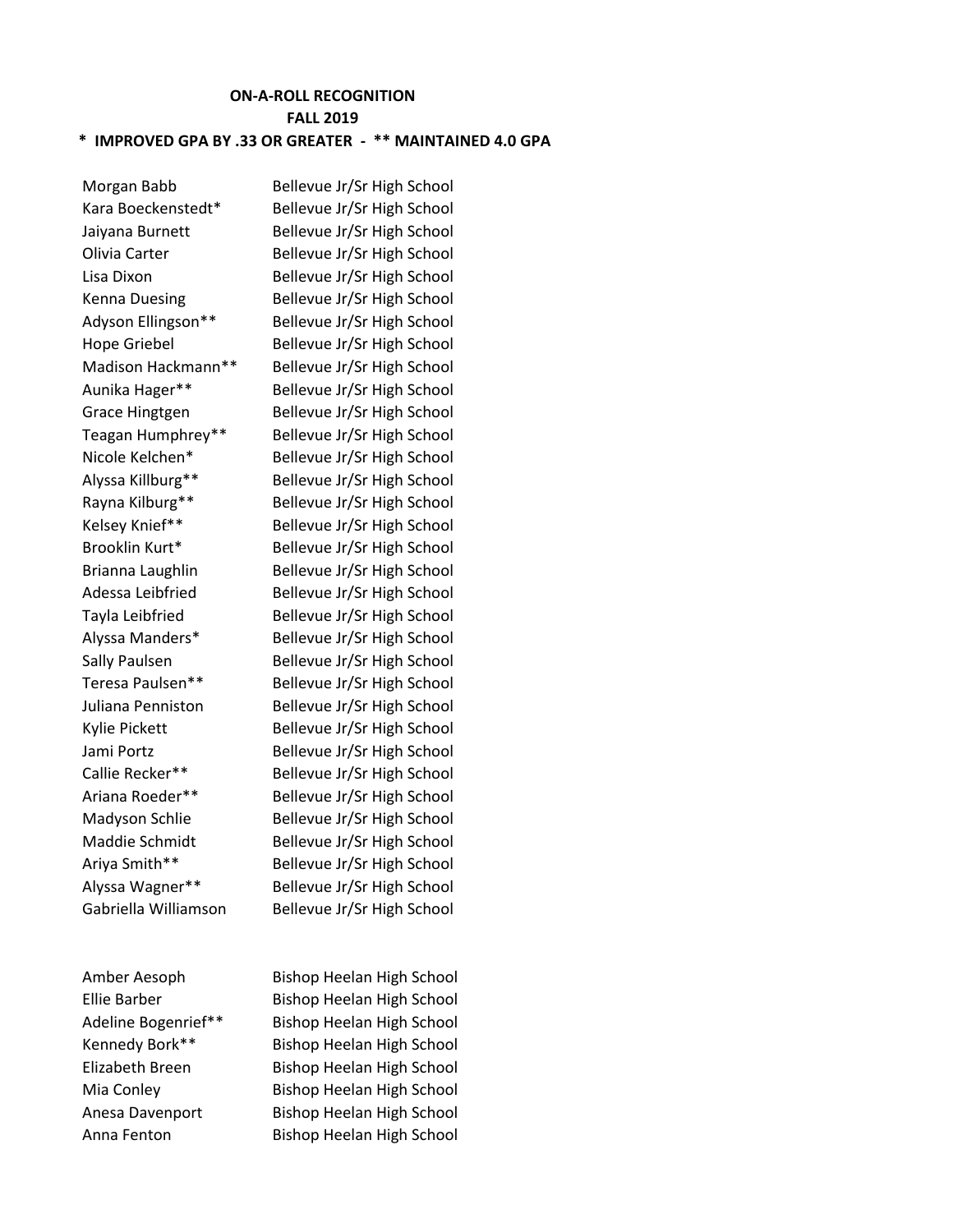## **ON-A-ROLL RECOGNITION FALL 2019 \* IMPROVED GPA BY .33 OR GREATER - \*\* MAINTAINED 4.0 GPA**

Morgan Babb Bellevue Jr/Sr High School Kara Boeckenstedt\* Bellevue Jr/Sr High School Jaiyana Burnett Bellevue Jr/Sr High School Olivia Carter Bellevue Jr/Sr High School Lisa Dixon Bellevue Jr/Sr High School Kenna Duesing Bellevue Jr/Sr High School Adyson Ellingson\*\* Bellevue Jr/Sr High School Hope Griebel Bellevue Jr/Sr High School Madison Hackmann\*\* Bellevue Jr/Sr High School Aunika Hager\*\* Bellevue Jr/Sr High School Grace Hingtgen Bellevue Jr/Sr High School Teagan Humphrey\*\* Bellevue Jr/Sr High School Nicole Kelchen\* Bellevue Jr/Sr High School Alyssa Killburg\*\* Bellevue Jr/Sr High School Rayna Kilburg\*\* Bellevue Jr/Sr High School Kelsey Knief\*\* Bellevue Jr/Sr High School Brooklin Kurt\* Bellevue Jr/Sr High School Brianna Laughlin Bellevue Jr/Sr High School Adessa Leibfried Bellevue Jr/Sr High School Tayla Leibfried Bellevue Jr/Sr High School Alyssa Manders\* Bellevue Jr/Sr High School Sally Paulsen Bellevue Jr/Sr High School Teresa Paulsen\*\* Bellevue Jr/Sr High School Juliana Penniston Bellevue Jr/Sr High School Kylie Pickett Bellevue Jr/Sr High School Jami Portz Bellevue Jr/Sr High School Callie Recker\*\* Bellevue Jr/Sr High School Ariana Roeder\*\* Bellevue Jr/Sr High School Madyson Schlie Bellevue Jr/Sr High School Maddie Schmidt Bellevue Jr/Sr High School Ariya Smith\*\* Bellevue Jr/Sr High School Alyssa Wagner\*\* Bellevue Jr/Sr High School Gabriella Williamson Bellevue Jr/Sr High School

Amber Aesoph Bishop Heelan High School Ellie Barber Bishop Heelan High School Adeline Bogenrief\*\* Bishop Heelan High School Kennedy Bork\*\* Bishop Heelan High School Elizabeth Breen Bishop Heelan High School Mia Conley Bishop Heelan High School Anesa Davenport Bishop Heelan High School Anna Fenton Bishop Heelan High School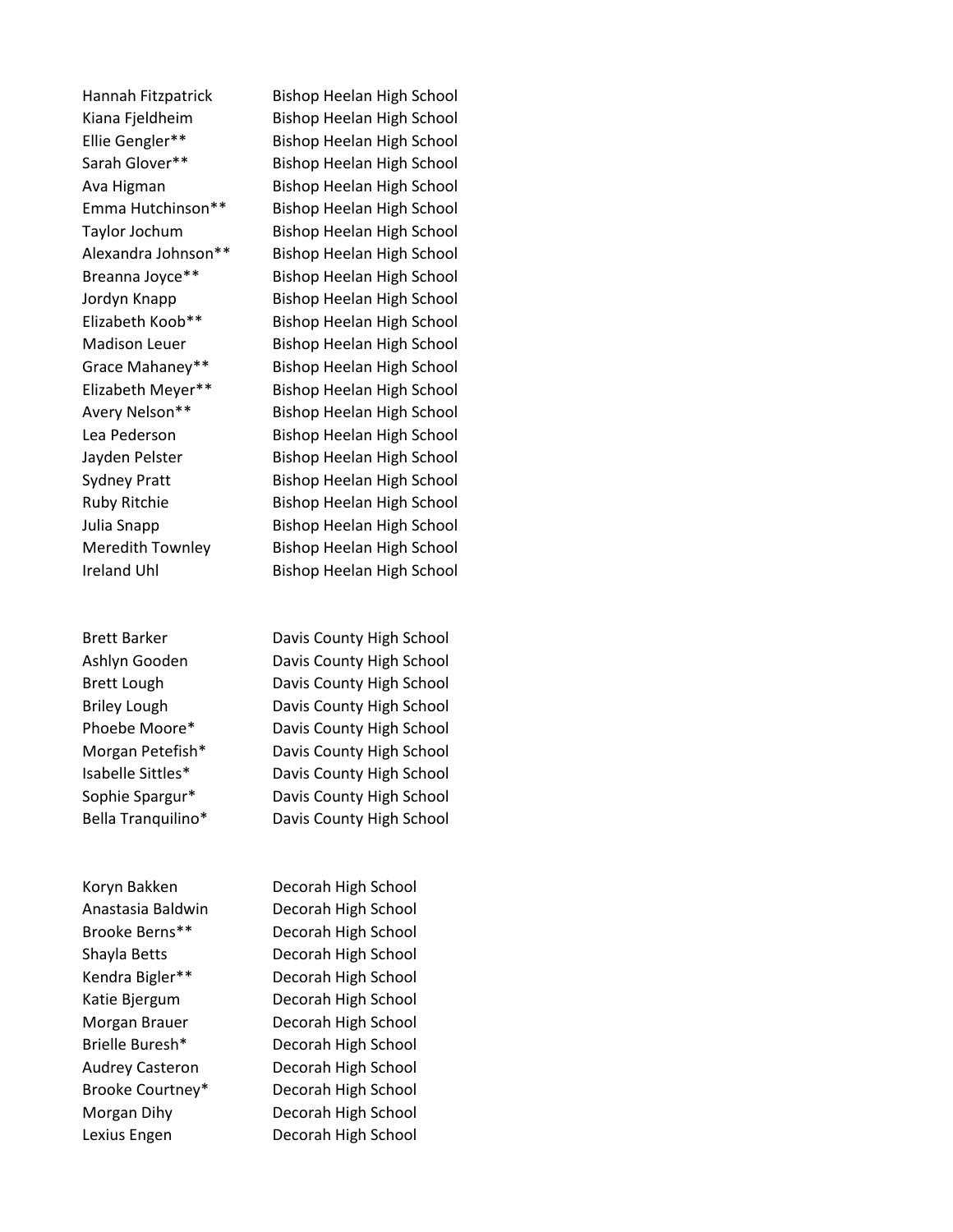Ireland Uhl Bishop Heelan High School

Hannah Fitzpatrick Bishop Heelan High School Kiana Fjeldheim Bishop Heelan High School Ellie Gengler\*\* Bishop Heelan High School Sarah Glover\*\* Bishop Heelan High School Ava Higman Bishop Heelan High School Emma Hutchinson\*\* Bishop Heelan High School Taylor Jochum Bishop Heelan High School Alexandra Johnson\*\* Bishop Heelan High School Breanna Joyce\*\* Bishop Heelan High School Jordyn Knapp Bishop Heelan High School Elizabeth Koob\*\* Bishop Heelan High School Madison Leuer Bishop Heelan High School Grace Mahaney\*\* Bishop Heelan High School Elizabeth Meyer\*\* Bishop Heelan High School Avery Nelson\*\* Bishop Heelan High School Lea Pederson Bishop Heelan High School Jayden Pelster Bishop Heelan High School Sydney Pratt Bishop Heelan High School Ruby Ritchie Bishop Heelan High School Julia Snapp Bishop Heelan High School Meredith Townley Bishop Heelan High School

Brett Barker **Davis County High School** Ashlyn Gooden Davis County High School Brett Lough Davis County High School Briley Lough Davis County High School Phoebe Moore\* Davis County High School Morgan Petefish\* Davis County High School Isabelle Sittles\* Davis County High School Sophie Spargur\* Davis County High School Bella Tranquilino\* Davis County High School

Koryn Bakken Decorah High School Anastasia Baldwin Decorah High School Brooke Berns\*\* Decorah High School Shayla Betts Decorah High School Kendra Bigler\*\* Decorah High School Katie Bjergum Decorah High School Morgan Brauer Decorah High School Brielle Buresh\* Decorah High School Audrey Casteron Decorah High School Brooke Courtney\* Decorah High School Morgan Dihy Decorah High School Lexius Engen Decorah High School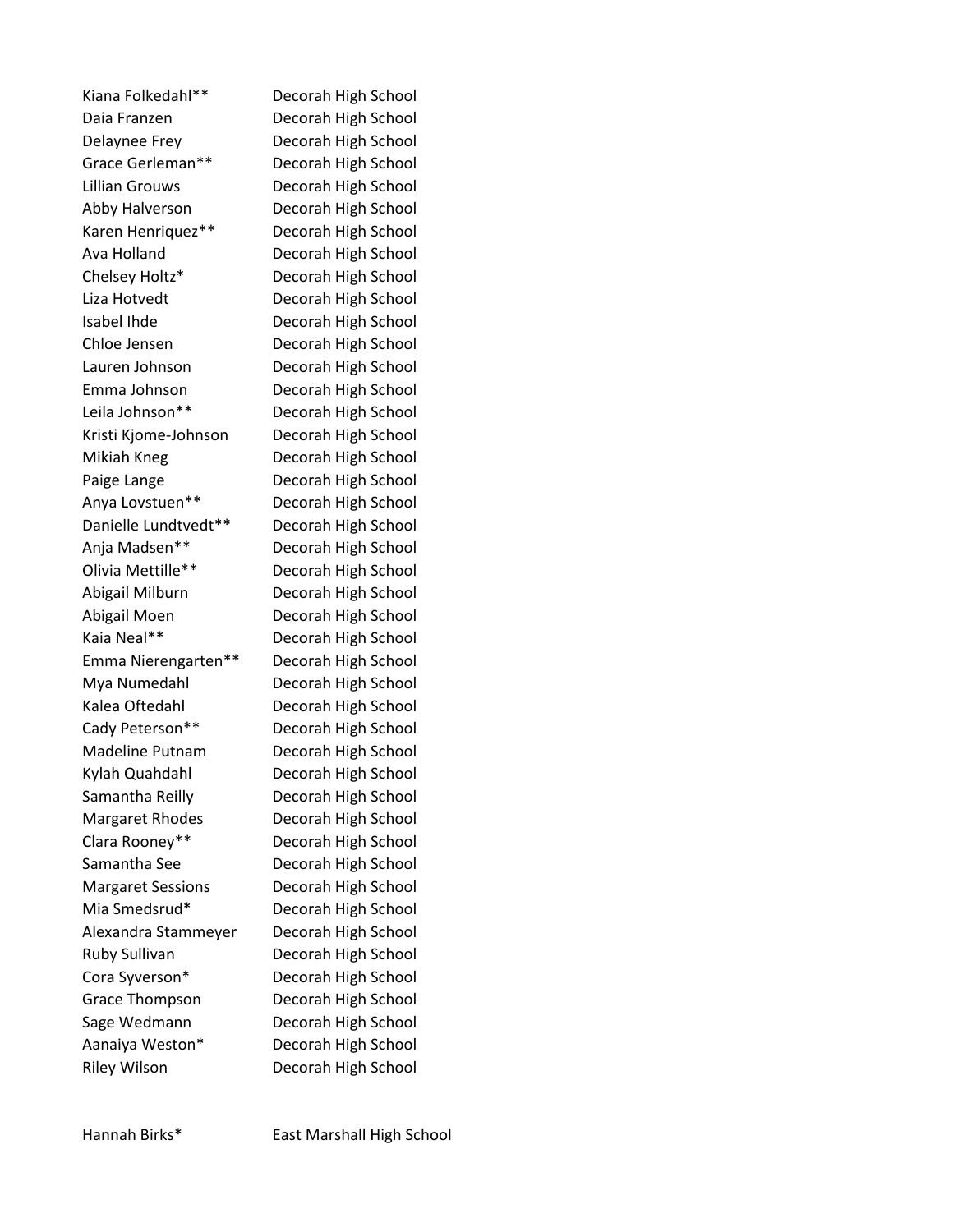Kiana Folkedahl\*\* Decorah High School Daia Franzen Decorah High School Delaynee Frey Decorah High School Grace Gerleman\*\* Decorah High School Lillian Grouws Decorah High School Abby Halverson Decorah High School Karen Henriquez\*\* Decorah High School Ava Holland Decorah High School Chelsey Holtz\* Decorah High School Liza Hotvedt Decorah High School Isabel Ihde Decorah High School Chloe Jensen Decorah High School Lauren Johnson Decorah High School Emma Johnson Decorah High School Leila Johnson\*\* Decorah High School Kristi Kjome-Johnson Decorah High School Mikiah Kneg Decorah High School Paige Lange **Decorah High School** Anya Lovstuen\*\* Decorah High School Danielle Lundtvedt\*\* Decorah High School Anja Madsen\*\* Decorah High School Olivia Mettille\*\* Decorah High School Abigail Milburn Decorah High School Abigail Moen Decorah High School Kaia Neal\*\* Decorah High School Emma Nierengarten\*\* Decorah High School Mya Numedahl Decorah High School Kalea Oftedahl Decorah High School Cady Peterson\*\* Decorah High School Madeline Putnam Decorah High School Kylah Quahdahl Decorah High School Samantha Reilly Decorah High School Margaret Rhodes Decorah High School Clara Rooney\*\* Decorah High School Samantha See Decorah High School Margaret Sessions Decorah High School Mia Smedsrud\* Decorah High School Alexandra Stammeyer Decorah High School Ruby Sullivan Decorah High School Cora Syverson\* Decorah High School Grace Thompson Decorah High School Sage Wedmann Decorah High School Aanaiya Weston\* Decorah High School Riley Wilson Decorah High School

Hannah Birks\* East Marshall High School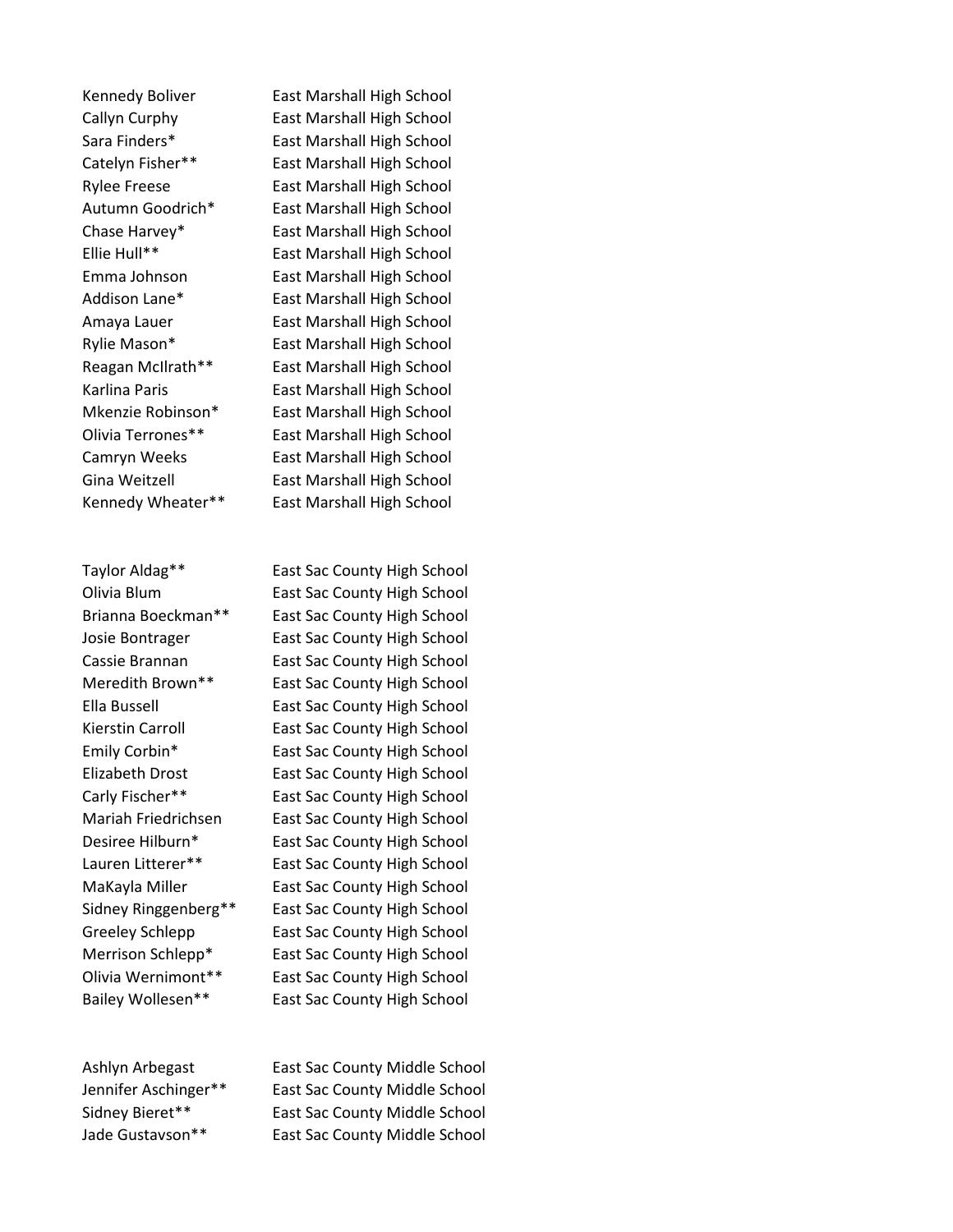Kennedy Wheater\*\* East Marshall High School

Kennedy Boliver East Marshall High School Callyn Curphy East Marshall High School Sara Finders\* East Marshall High School Catelyn Fisher\*\* East Marshall High School Rylee Freese East Marshall High School Autumn Goodrich\* East Marshall High School Chase Harvey\* East Marshall High School Ellie Hull\*\* East Marshall High School Emma Johnson East Marshall High School Addison Lane\* East Marshall High School Amaya Lauer **East Marshall High School** Rylie Mason\* East Marshall High School Reagan McIlrath\*\* East Marshall High School Karlina Paris **East Marshall High School** Mkenzie Robinson\* East Marshall High School Olivia Terrones\*\* East Marshall High School Camryn Weeks East Marshall High School Gina Weitzell **East Marshall High School** 

Taylor Aldag\*\* East Sac County High School Olivia Blum East Sac County High School Brianna Boeckman\*\* East Sac County High School Josie Bontrager **East Sac County High School** Cassie Brannan East Sac County High School Meredith Brown\*\* East Sac County High School Ella Bussell East Sac County High School Kierstin Carroll East Sac County High School Emily Corbin\* East Sac County High School Elizabeth Drost East Sac County High School Carly Fischer\*\* East Sac County High School Mariah Friedrichsen East Sac County High School Desiree Hilburn\* East Sac County High School Lauren Litterer\*\* East Sac County High School MaKayla Miller **East Sac County High School** Sidney Ringgenberg\*\* East Sac County High School Greeley Schlepp East Sac County High School Merrison Schlepp\* East Sac County High School Olivia Wernimont\*\* East Sac County High School Bailey Wollesen\*\* East Sac County High School

Ashlyn Arbegast East Sac County Middle School Jennifer Aschinger\*\* East Sac County Middle School Sidney Bieret\*\* East Sac County Middle School Jade Gustavson\*\* East Sac County Middle School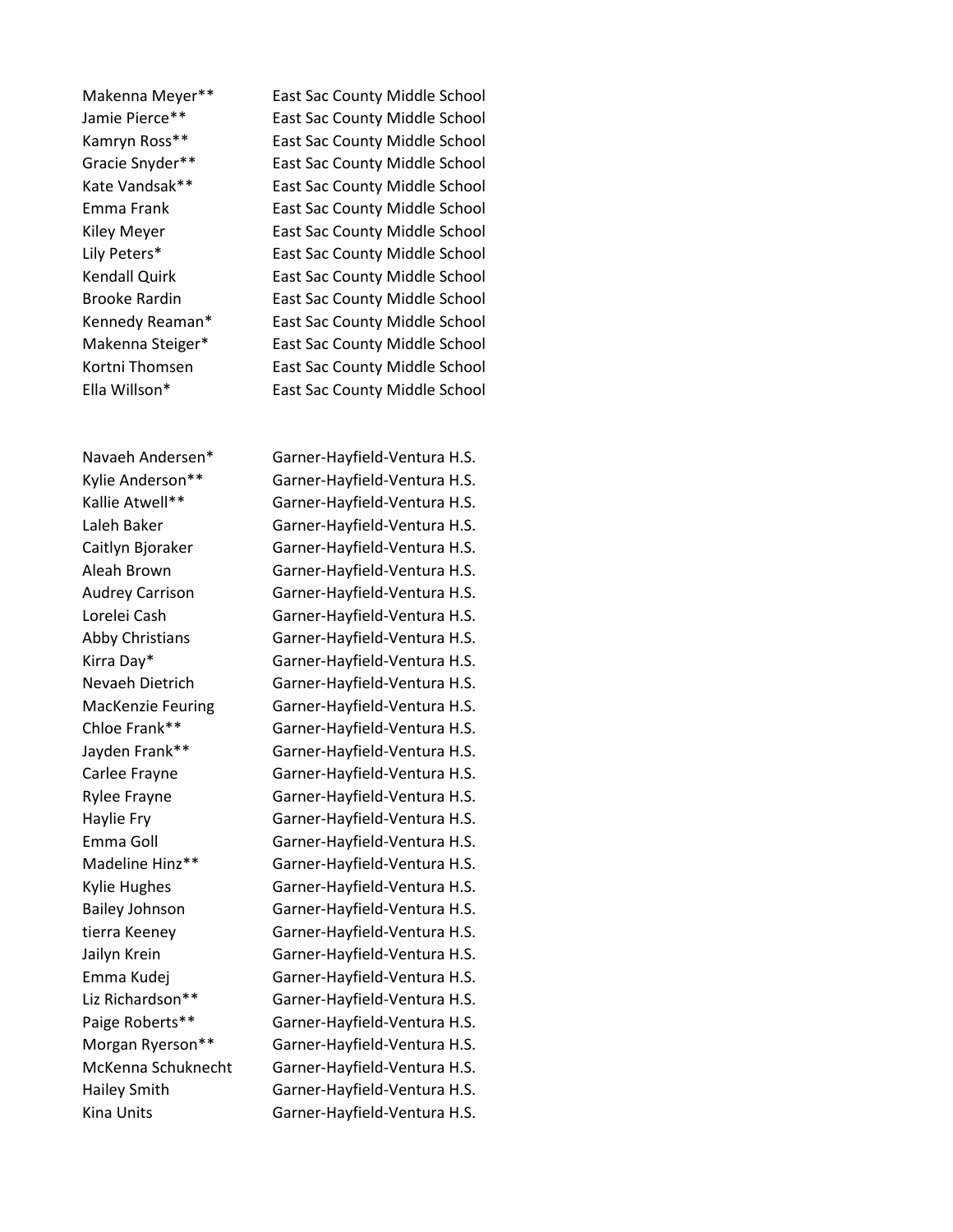Makenna Meyer\*\* East Sac County Middle School Jamie Pierce\*\* East Sac County Middle School Kamryn Ross\*\* East Sac County Middle School Gracie Snyder\*\* East Sac County Middle School Kate Vandsak\*\* East Sac County Middle School Emma Frank East Sac County Middle School Kiley Meyer **East Sac County Middle School** Lily Peters\* East Sac County Middle School Kendall Quirk **East Sac County Middle School** Brooke Rardin East Sac County Middle School Kennedy Reaman\* East Sac County Middle School Makenna Steiger\* East Sac County Middle School Kortni Thomsen **East Sac County Middle School** Ella Willson\* East Sac County Middle School

Navaeh Andersen\* Garner-Hayfield-Ventura H.S. Kylie Anderson\*\* Garner-Hayfield-Ventura H.S. Kallie Atwell\*\* Garner-Hayfield-Ventura H.S. Laleh Baker Garner-Hayfield-Ventura H.S. Caitlyn Bjoraker Garner-Hayfield-Ventura H.S. Aleah Brown Garner-Hayfield-Ventura H.S. Audrey Carrison Garner-Hayfield-Ventura H.S. Lorelei Cash Garner-Hayfield-Ventura H.S. Abby Christians Garner-Hayfield-Ventura H.S. Kirra Day\* Garner-Hayfield-Ventura H.S. Nevaeh Dietrich Garner-Hayfield-Ventura H.S. MacKenzie Feuring Garner-Hayfield-Ventura H.S. Chloe Frank\*\* Garner-Hayfield-Ventura H.S. Jayden Frank\*\* Garner-Hayfield-Ventura H.S. Carlee Frayne Garner-Hayfield-Ventura H.S. Rylee Frayne Garner-Hayfield-Ventura H.S. Haylie Fry Garner-Hayfield-Ventura H.S. Emma Goll Garner-Hayfield-Ventura H.S. Madeline Hinz\*\* Garner-Hayfield-Ventura H.S. Kylie Hughes Garner-Hayfield-Ventura H.S. Bailey Johnson Garner-Hayfield-Ventura H.S. tierra Keeney Garner-Hayfield-Ventura H.S. Jailyn Krein Garner-Hayfield-Ventura H.S. Emma Kudej Garner-Hayfield-Ventura H.S. Liz Richardson\*\* Garner-Hayfield-Ventura H.S. Paige Roberts\*\* Garner-Hayfield-Ventura H.S. Morgan Ryerson\*\* Garner-Hayfield-Ventura H.S. McKenna Schuknecht Garner-Hayfield-Ventura H.S. Hailey Smith Garner-Hayfield-Ventura H.S. Kina Units Garner-Hayfield-Ventura H.S.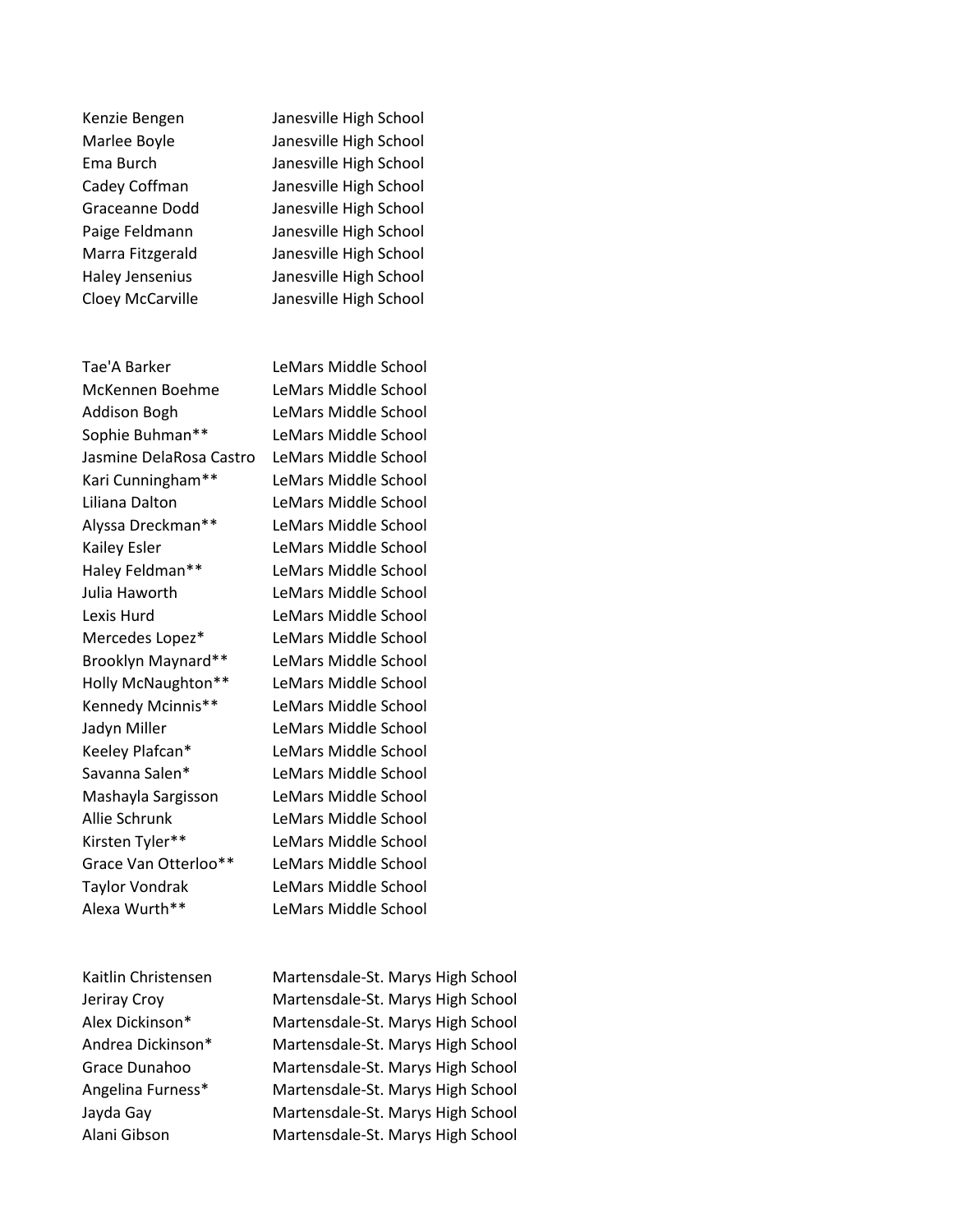Tae'A Barker LeMars Middle School McKennen Boehme LeMars Middle School Addison Bogh LeMars Middle School Sophie Buhman\*\* LeMars Middle School Jasmine DelaRosa Castro LeMars Middle School Kari Cunningham\*\* LeMars Middle School Liliana Dalton LeMars Middle School Alyssa Dreckman\*\* LeMars Middle School Kailey Esler LeMars Middle School Haley Feldman\*\* LeMars Middle School Julia Haworth LeMars Middle School Lexis Hurd LeMars Middle School Mercedes Lopez\* LeMars Middle School Brooklyn Maynard\*\* LeMars Middle School Holly McNaughton\*\* LeMars Middle School Kennedy Mcinnis\*\* LeMars Middle School Jadyn Miller LeMars Middle School Keeley Plafcan\* LeMars Middle School Savanna Salen\* LeMars Middle School Mashayla Sargisson LeMars Middle School Allie Schrunk LeMars Middle School Kirsten Tyler\*\* LeMars Middle School Grace Van Otterloo\*\* LeMars Middle School Taylor Vondrak LeMars Middle School Alexa Wurth\*\* LeMars Middle School

Kenzie Bengen Janesville High School Marlee Boyle Janesville High School Ema Burch Janesville High School Cadey Coffman Janesville High School Graceanne Dodd Janesville High School Paige Feldmann Janesville High School Marra Fitzgerald Janesville High School Haley Jensenius Janesville High School Cloey McCarville Janesville High School

Kaitlin Christensen Martensdale-St. Marys High School Jeriray Croy Martensdale-St. Marys High School Alex Dickinson\* Martensdale-St. Marys High School Andrea Dickinson\* Martensdale-St. Marys High School Grace Dunahoo Martensdale-St. Marys High School Angelina Furness\* Martensdale-St. Marys High School Jayda Gay Martensdale-St. Marys High School Alani Gibson Martensdale-St. Marys High School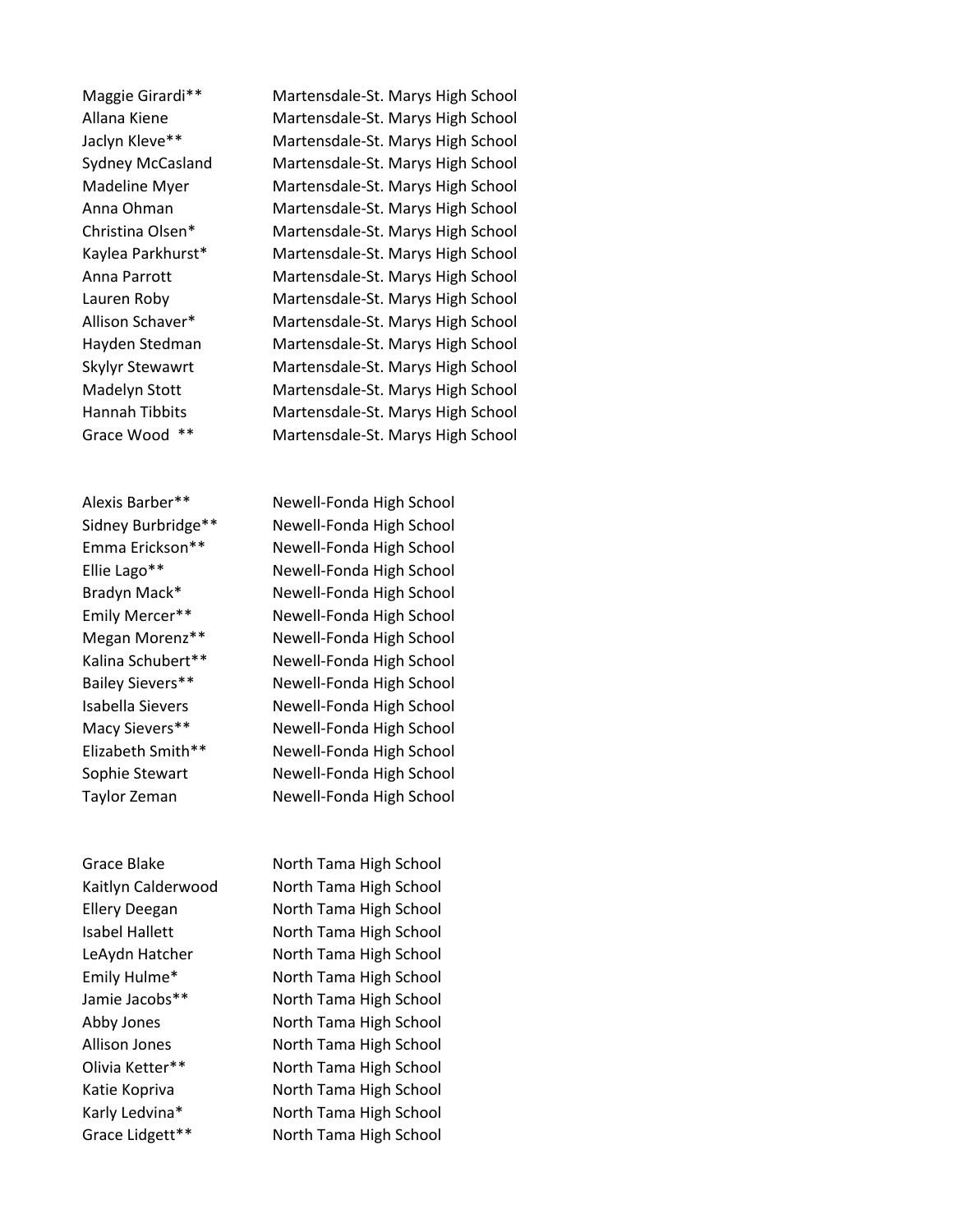Maggie Girardi\*\* Martensdale-St. Marys High School Allana Kiene Martensdale-St. Marys High School Jaclyn Kleve\*\* Martensdale-St. Marys High School Sydney McCasland Martensdale-St. Marys High School Madeline Myer Martensdale-St. Marys High School Anna Ohman Martensdale-St. Marys High School Christina Olsen\* Martensdale-St. Marys High School Kaylea Parkhurst\* Martensdale-St. Marys High School Anna Parrott Martensdale-St. Marys High School Lauren Roby Martensdale-St. Marys High School Allison Schaver\* Martensdale-St. Marys High School Hayden Stedman Martensdale-St. Marys High School Skylyr Stewawrt Martensdale-St. Marys High School Madelyn Stott Martensdale-St. Marys High School Hannah Tibbits Martensdale-St. Marys High School Grace Wood \*\* Martensdale-St. Marys High School

Alexis Barber\*\* Newell-Fonda High School Sidney Burbridge\*\* Newell-Fonda High School Emma Erickson\*\* Newell-Fonda High School Ellie Lago\*\* Newell-Fonda High School Bradyn Mack\* Newell-Fonda High School Emily Mercer\*\* Newell-Fonda High School Megan Morenz\*\* Newell-Fonda High School Kalina Schubert\*\* Newell-Fonda High School Bailey Sievers\*\* Newell-Fonda High School Isabella Sievers Newell-Fonda High School Macy Sievers\*\* Newell-Fonda High School Elizabeth Smith\*\* Newell-Fonda High School Sophie Stewart Newell-Fonda High School Taylor Zeman Newell-Fonda High School

Grace Blake North Tama High School Kaitlyn Calderwood North Tama High School Ellery Deegan North Tama High School Isabel Hallett North Tama High School LeAydn Hatcher North Tama High School Emily Hulme\* North Tama High School Jamie Jacobs\*\* North Tama High School Abby Jones North Tama High School Allison Jones North Tama High School Olivia Ketter\*\* North Tama High School Katie Kopriva **North Tama High School** Karly Ledvina\* North Tama High School Grace Lidgett\*\* North Tama High School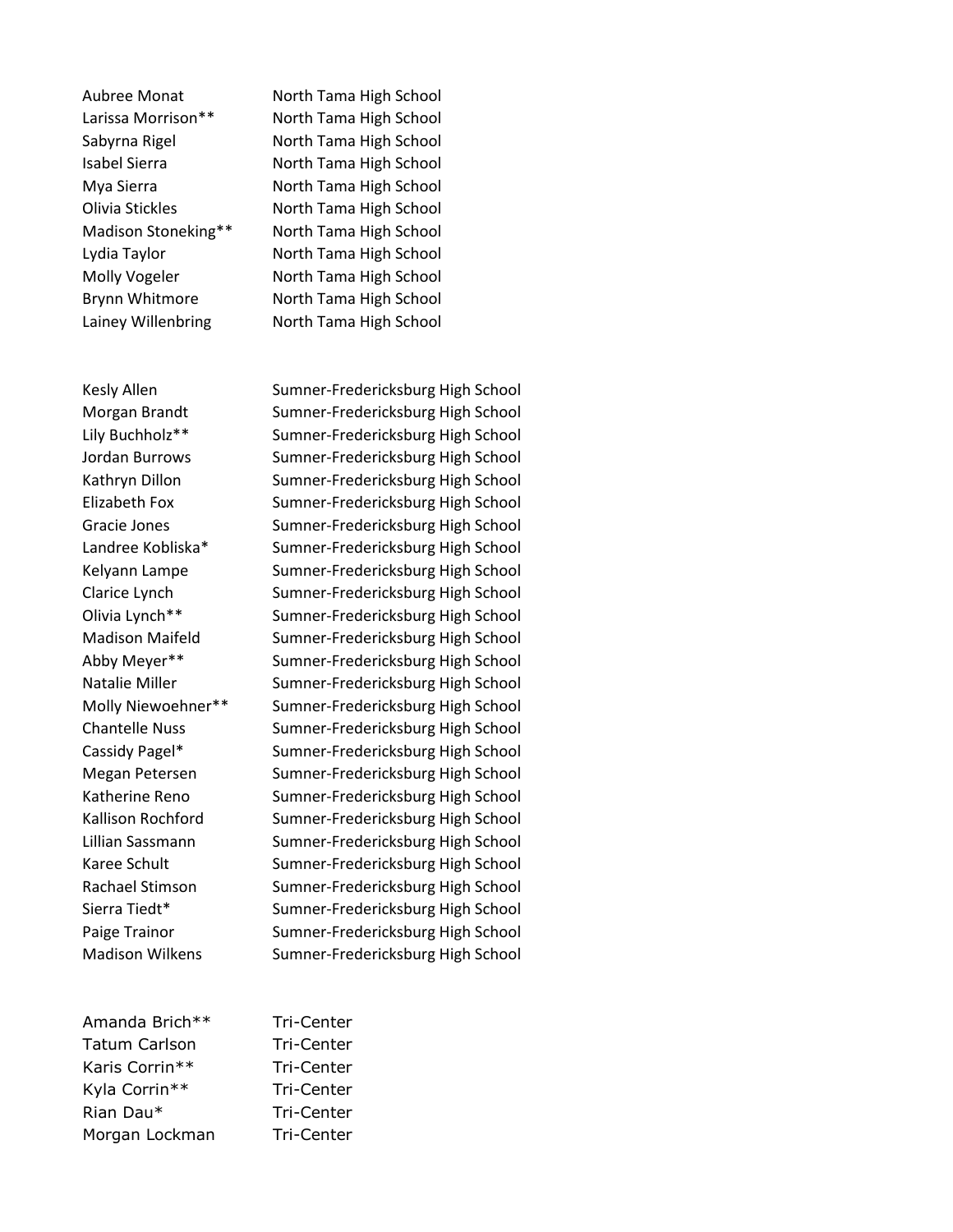Lainey Willenbring North Tama High School

Amanda Brich\*\* Tri-Center Tatum Carlson Tri-Center Karis Corrin\*\* Tri-Center Kyla Corrin\*\* Tri-Center Rian Dau\* Tri-Center Morgan Lockman Tri-Center

Aubree Monat North Tama High School Larissa Morrison\*\* North Tama High School Sabyrna Rigel North Tama High School Isabel Sierra North Tama High School Mya Sierra **North Tama High School** Olivia Stickles North Tama High School Madison Stoneking\*\* North Tama High School Lydia Taylor North Tama High School Molly Vogeler North Tama High School Brynn Whitmore North Tama High School

Kesly Allen Sumner-Fredericksburg High School Morgan Brandt Sumner-Fredericksburg High School Lily Buchholz\*\* Sumner-Fredericksburg High School Jordan Burrows Sumner-Fredericksburg High School Kathryn Dillon Sumner-Fredericksburg High School Elizabeth Fox Sumner-Fredericksburg High School Gracie Jones Sumner-Fredericksburg High School Landree Kobliska\* Sumner-Fredericksburg High School Kelyann Lampe Sumner-Fredericksburg High School Clarice Lynch Sumner-Fredericksburg High School Olivia Lynch\*\* Sumner-Fredericksburg High School Madison Maifeld Sumner-Fredericksburg High School Abby Meyer\*\* Sumner-Fredericksburg High School Natalie Miller Sumner-Fredericksburg High School Molly Niewoehner\*\* Sumner-Fredericksburg High School Chantelle Nuss Sumner-Fredericksburg High School Cassidy Pagel\* Sumner-Fredericksburg High School Megan Petersen Sumner-Fredericksburg High School Katherine Reno Sumner-Fredericksburg High School Kallison Rochford Sumner-Fredericksburg High School Lillian Sassmann Sumner-Fredericksburg High School Karee Schult Sumner-Fredericksburg High School Rachael Stimson Sumner-Fredericksburg High School Sierra Tiedt\* Sumner-Fredericksburg High School Paige Trainor Sumner-Fredericksburg High School Madison Wilkens Sumner-Fredericksburg High School